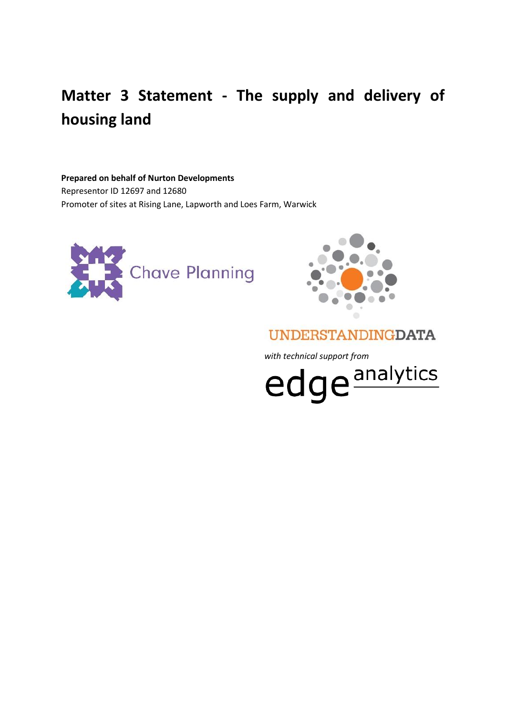# **Matter 3 Statement - The supply and delivery of housing land**

#### **Prepared on behalf of Nurton Developments**

Representor ID 12697 and 12680 Promoter of sites at Rising Lane, Lapworth and Loes Farm, Warwick





# **UNDERSTANDINGDATA**

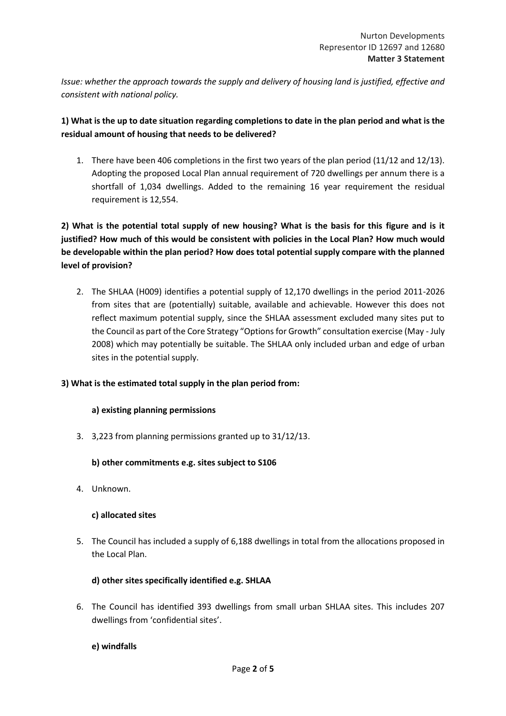*Issue: whether the approach towards the supply and delivery of housing land is justified, effective and consistent with national policy.*

# **1) What is the up to date situation regarding completions to date in the plan period and what is the residual amount of housing that needs to be delivered?**

1. There have been 406 completions in the first two years of the plan period (11/12 and 12/13). Adopting the proposed Local Plan annual requirement of 720 dwellings per annum there is a shortfall of 1,034 dwellings. Added to the remaining 16 year requirement the residual requirement is 12,554.

**2) What is the potential total supply of new housing? What is the basis for this figure and is it justified? How much of this would be consistent with policies in the Local Plan? How much would be developable within the plan period? How does total potential supply compare with the planned level of provision?**

2. The SHLAA (H009) identifies a potential supply of 12,170 dwellings in the period 2011-2026 from sites that are (potentially) suitable, available and achievable. However this does not reflect maximum potential supply, since the SHLAA assessment excluded many sites put to the Council as part of the Core Strategy "Options for Growth" consultation exercise (May - July 2008) which may potentially be suitable. The SHLAA only included urban and edge of urban sites in the potential supply.

### **3) What is the estimated total supply in the plan period from:**

#### **a) existing planning permissions**

3. 3,223 from planning permissions granted up to 31/12/13.

#### **b) other commitments e.g. sites subject to S106**

4. Unknown.

#### **c) allocated sites**

5. The Council has included a supply of 6,188 dwellings in total from the allocations proposed in the Local Plan.

### **d) other sites specifically identified e.g. SHLAA**

6. The Council has identified 393 dwellings from small urban SHLAA sites. This includes 207 dwellings from 'confidential sites'.

#### **e) windfalls**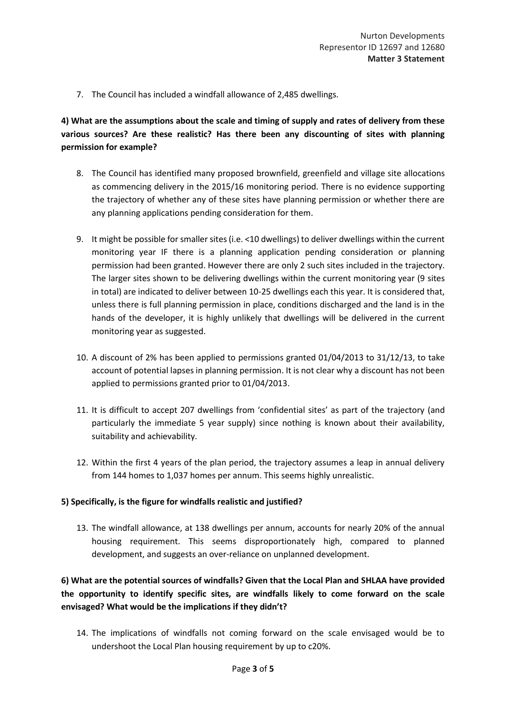7. The Council has included a windfall allowance of 2,485 dwellings.

# **4) What are the assumptions about the scale and timing of supply and rates of delivery from these various sources? Are these realistic? Has there been any discounting of sites with planning permission for example?**

- 8. The Council has identified many proposed brownfield, greenfield and village site allocations as commencing delivery in the 2015/16 monitoring period. There is no evidence supporting the trajectory of whether any of these sites have planning permission or whether there are any planning applications pending consideration for them.
- 9. It might be possible for smaller sites (i.e. <10 dwellings) to deliver dwellings within the current monitoring year IF there is a planning application pending consideration or planning permission had been granted. However there are only 2 such sites included in the trajectory. The larger sites shown to be delivering dwellings within the current monitoring year (9 sites in total) are indicated to deliver between 10-25 dwellings each this year. It is considered that, unless there is full planning permission in place, conditions discharged and the land is in the hands of the developer, it is highly unlikely that dwellings will be delivered in the current monitoring year as suggested.
- 10. A discount of 2% has been applied to permissions granted 01/04/2013 to 31/12/13, to take account of potential lapses in planning permission. It is not clear why a discount has not been applied to permissions granted prior to 01/04/2013.
- 11. It is difficult to accept 207 dwellings from 'confidential sites' as part of the trajectory (and particularly the immediate 5 year supply) since nothing is known about their availability, suitability and achievability.
- 12. Within the first 4 years of the plan period, the trajectory assumes a leap in annual delivery from 144 homes to 1,037 homes per annum. This seems highly unrealistic.

#### **5) Specifically, is the figure for windfalls realistic and justified?**

13. The windfall allowance, at 138 dwellings per annum, accounts for nearly 20% of the annual housing requirement. This seems disproportionately high, compared to planned development, and suggests an over-reliance on unplanned development.

**6) What are the potential sources of windfalls? Given that the Local Plan and SHLAA have provided the opportunity to identify specific sites, are windfalls likely to come forward on the scale envisaged? What would be the implications if they didn't?**

14. The implications of windfalls not coming forward on the scale envisaged would be to undershoot the Local Plan housing requirement by up to c20%.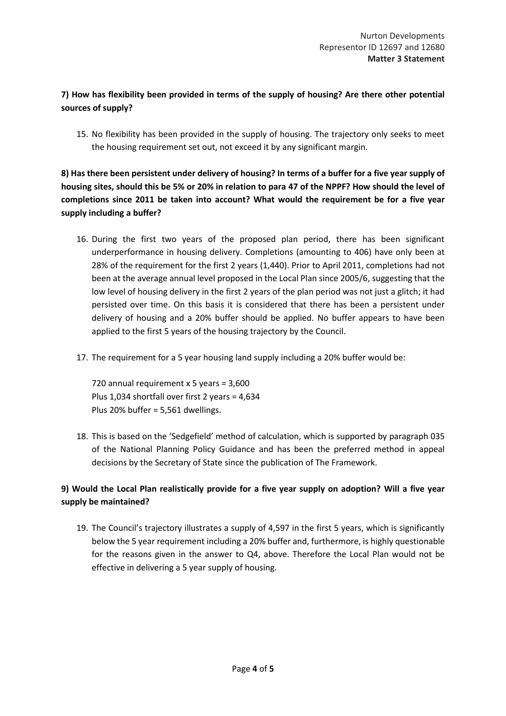# **7) How has flexibility been provided in terms of the supply of housing? Are there other potential sources of supply?**

15. No flexibility has been provided in the supply of housing. The trajectory only seeks to meet the housing requirement set out, not exceed it by any significant margin.

**8) Has there been persistent under delivery of housing? In terms of a buffer for a five year supply of housing sites, should this be 5% or 20% in relation to para 47 of the NPPF? How should the level of completions since 2011 be taken into account? What would the requirement be for a five year supply including a buffer?**

- 16. During the first two years of the proposed plan period, there has been significant underperformance in housing delivery. Completions (amounting to 406) have only been at 28% of the requirement for the first 2 years (1,440). Prior to April 2011, completions had not been at the average annual level proposed in the Local Plan since 2005/6, suggesting that the low level of housing delivery in the first 2 years of the plan period was not just a glitch; it had persisted over time. On this basis it is considered that there has been a persistent under delivery of housing and a 20% buffer should be applied. No buffer appears to have been applied to the first 5 years of the housing trajectory by the Council.
- 17. The requirement for a 5 year housing land supply including a 20% buffer would be:

720 annual requirement x 5 years = 3,600 Plus 1,034 shortfall over first 2 years = 4,634 Plus 20% buffer = 5,561 dwellings.

18. This is based on the 'Sedgefield' method of calculation, which is supported by paragraph 035 of the National Planning Policy Guidance and has been the preferred method in appeal decisions by the Secretary of State since the publication of The Framework.

# **9) Would the Local Plan realistically provide for a five year supply on adoption? Will a five year supply be maintained?**

19. The Council's trajectory illustrates a supply of 4,597 in the first 5 years, which is significantly below the 5 year requirement including a 20% buffer and, furthermore, is highly questionable for the reasons given in the answer to Q4, above. Therefore the Local Plan would not be effective in delivering a 5 year supply of housing.